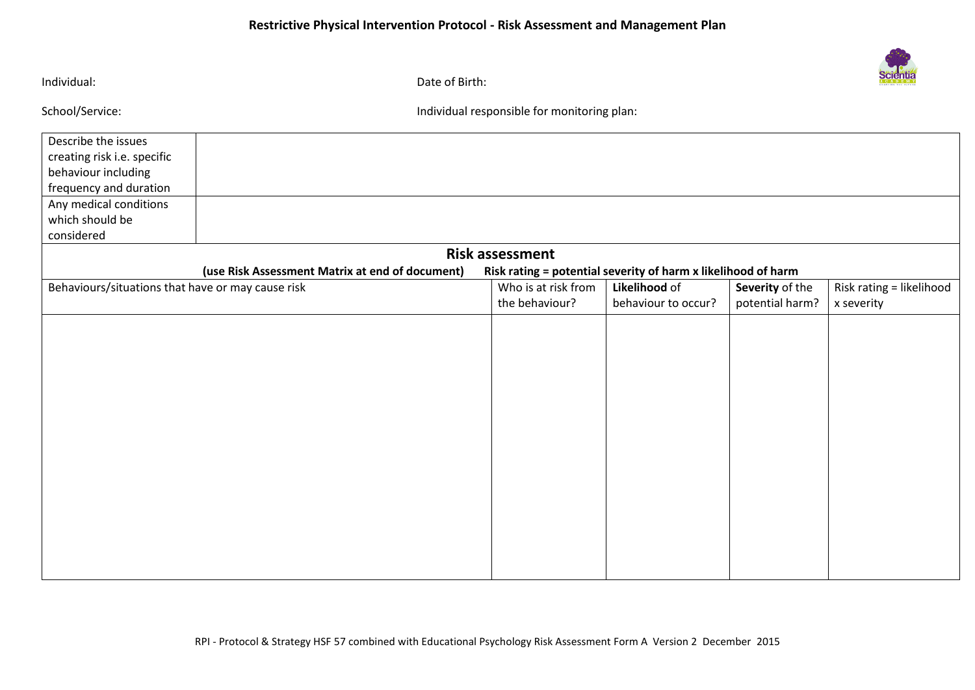**CANADA** 

| Individual:                                                                                                                                                    |                                                 | Date of Birth:         |                                             |                                                               |                                    | Scientia                               |
|----------------------------------------------------------------------------------------------------------------------------------------------------------------|-------------------------------------------------|------------------------|---------------------------------------------|---------------------------------------------------------------|------------------------------------|----------------------------------------|
| School/Service:                                                                                                                                                |                                                 |                        | Individual responsible for monitoring plan: |                                                               |                                    |                                        |
| Describe the issues<br>creating risk i.e. specific<br>behaviour including<br>frequency and duration<br>Any medical conditions<br>which should be<br>considered |                                                 |                        |                                             |                                                               |                                    |                                        |
|                                                                                                                                                                |                                                 | <b>Risk assessment</b> |                                             |                                                               |                                    |                                        |
|                                                                                                                                                                | (use Risk Assessment Matrix at end of document) |                        |                                             | Risk rating = potential severity of harm x likelihood of harm |                                    |                                        |
| Behaviours/situations that have or may cause risk                                                                                                              |                                                 |                        | Who is at risk from<br>the behaviour?       | Likelihood of<br>behaviour to occur?                          | Severity of the<br>potential harm? | Risk rating = likelihood<br>x severity |
|                                                                                                                                                                |                                                 |                        |                                             |                                                               |                                    |                                        |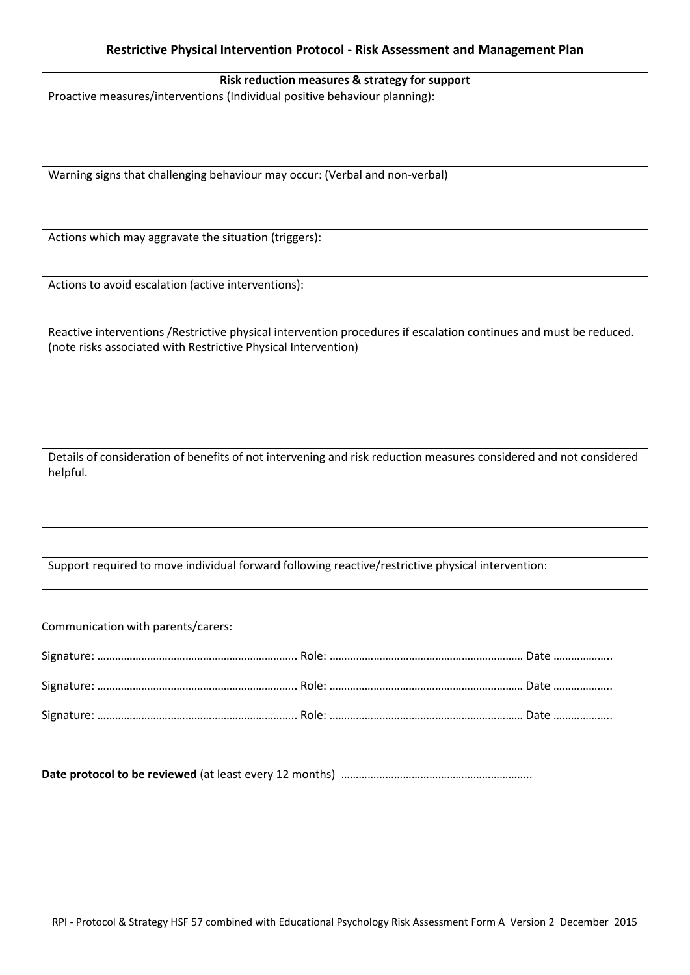| Risk reduction measures & strategy for support                                                                                                                                       |
|--------------------------------------------------------------------------------------------------------------------------------------------------------------------------------------|
| Proactive measures/interventions (Individual positive behaviour planning):                                                                                                           |
| Warning signs that challenging behaviour may occur: (Verbal and non-verbal)                                                                                                          |
| Actions which may aggravate the situation (triggers):                                                                                                                                |
| Actions to avoid escalation (active interventions):                                                                                                                                  |
| Reactive interventions / Restrictive physical intervention procedures if escalation continues and must be reduced.<br>(note risks associated with Restrictive Physical Intervention) |
| Details of consideration of benefits of not intervening and risk reduction measures considered and not considered<br>helpful.                                                        |

| Support required to move individual forward following reactive/restrictive physical intervention: |  |  |
|---------------------------------------------------------------------------------------------------|--|--|
|---------------------------------------------------------------------------------------------------|--|--|

Communication with parents/carers:

|--|--|--|--|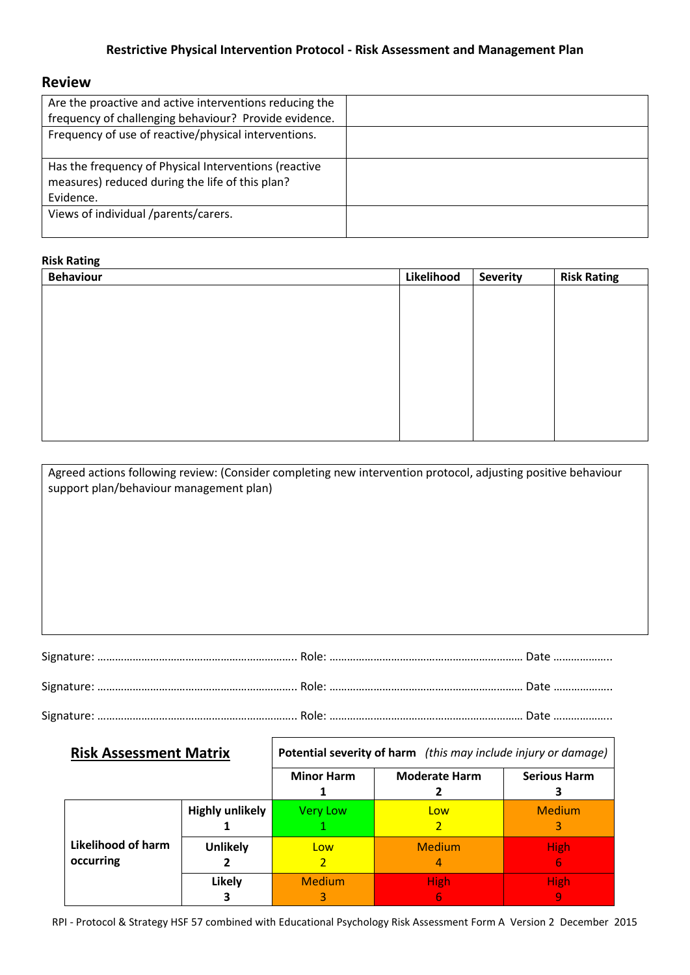## **Restrictive Physical Intervention Protocol - Risk Assessment and Management Plan**

## **Review**

| Are the proactive and active interventions reducing the |  |
|---------------------------------------------------------|--|
| frequency of challenging behaviour? Provide evidence.   |  |
| Frequency of use of reactive/physical interventions.    |  |
|                                                         |  |
| Has the frequency of Physical Interventions (reactive   |  |
| measures) reduced during the life of this plan?         |  |
| Evidence.                                               |  |
| Views of individual /parents/carers.                    |  |
|                                                         |  |

| <b>Behaviour</b> | Likelihood | <b>Severity</b> | <b>Risk Rating</b> |
|------------------|------------|-----------------|--------------------|
|                  |            |                 |                    |
|                  |            |                 |                    |
|                  |            |                 |                    |
|                  |            |                 |                    |
|                  |            |                 |                    |
|                  |            |                 |                    |
|                  |            |                 |                    |
|                  |            |                 |                    |
|                  |            |                 |                    |
|                  |            |                 |                    |
|                  |            |                 |                    |

| Agreed actions following review: (Consider completing new intervention protocol, adjusting positive behaviour<br>support plan/behaviour management plan) |
|----------------------------------------------------------------------------------------------------------------------------------------------------------|
|                                                                                                                                                          |
|                                                                                                                                                          |
|                                                                                                                                                          |
|                                                                                                                                                          |

**Risk Assessment Matrix Potential severity of harm** *(this may include injury or damage)*

|                                        |                        | <b>Minor Harm</b> | <b>Moderate Harm</b> | <b>Serious Harm</b> |
|----------------------------------------|------------------------|-------------------|----------------------|---------------------|
|                                        | <b>Highly unlikely</b> | Very Low          | Low                  | <b>Medium</b><br>3  |
| <b>Likelihood of harm</b><br>occurring | <b>Unlikely</b>        | Low               | <b>Medium</b><br>4   | <b>High</b><br>b    |
|                                        | <b>Likely</b>          | <b>Medium</b>     | <b>High</b><br>b     | <b>High</b><br>9    |

RPI - Protocol & Strategy HSF 57 combined with Educational Psychology Risk Assessment Form A Version 2 December 2015